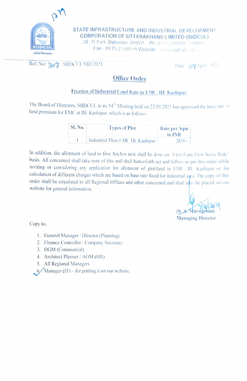

STATE INFRASTRUCTURE AND INDUSTRIAL DEVELOPMENT<br>CORPORATION OF UTTARAKHAND LIMITED (SIIDCUL) 29, IT Park, Dehradun 248001. Ph. 0135-2708100. 2608092

Fax - 0135-2708109 Website www.slidcul.com

# Ref. No:  $30\gamma$  /SIIDCUL/MD/2021 Date  $0\gamma$ April 2021

## Office Order

## Fixation of Industrial Land Rate in EMC, IIE Kashipur

The Board of Directors, SIIDCUL in its 54<sup>th</sup> Meeting held on 22.03.2021 has approved the base rate of land premium for EMC at IIE Kashipur, which is as follows:

| <b>SI.</b> No. | <b>Types of Plot</b>              | Rate per Sqm |
|----------------|-----------------------------------|--------------|
|                |                                   | in INR       |
|                | Industrial Plots EMC IIE Kashipur | $2850/-$     |

In addition, the allotment of land to first Anchor unit shall be done on "First Cum First Serve Rule" basis. All concerned shall take note of this and shall henceforth act and follow as per this order while inviting or considering any application for allotment of plot/land in EMC, IE Kashipur or for calculation of different charges which are based on base rate fixed for industrial aga. The copy of this order shall be circulated to all Regional Offices and other concerned and shall as be placed on our website for general information.

(S. A. Murugesan) Managing Director

Copy to,

- I. General Manager/ Director (Planning)
- 2. Finance Controller / Company Secretary
- 3. DGM (Commercial)
- 4. Architect Planner / AGM (HR)
- 5. All Regional Managers
- $6$  Manager (IT) for putting it on our website.